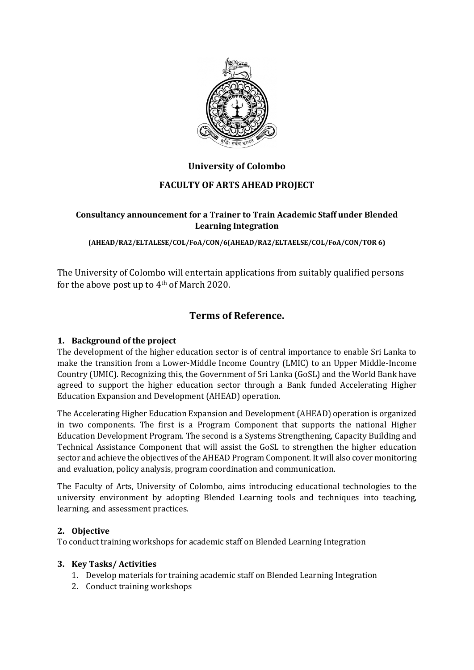

# **University of Colombo**

## **FACULTY OF ARTS AHEAD PROJECT**

## **Consultancy announcement for a Trainer to Train Academic Staff under Blended Learning Integration**

**(AHEAD/RA2/ELTALESE/COL/FoA/CON/6(AHEAD/RA2/ELTAELSE/COL/FoA/CON/TOR 6)**

The University of Colombo will entertain applications from suitably qualified persons for the above post up to 4th of March 2020.

# **Terms of Reference.**

## **1. Background of the project**

The development of the higher education sector is of central importance to enable Sri Lanka to make the transition from a Lower-Middle Income Country (LMIC) to an Upper Middle-Income Country (UMIC). Recognizing this, the Government of Sri Lanka (GoSL) and the World Bank have agreed to support the higher education sector through a Bank funded Accelerating Higher Education Expansion and Development (AHEAD) operation.

The Accelerating Higher Education Expansion and Development (AHEAD) operation is organized in two components. The first is a Program Component that supports the national Higher Education Development Program. The second is a Systems Strengthening, Capacity Building and Technical Assistance Component that will assist the GoSL to strengthen the higher education sector and achieve the objectives of the AHEAD Program Component. It will also cover monitoring and evaluation, policy analysis, program coordination and communication.

The Faculty of Arts, University of Colombo, aims introducing educational technologies to the university environment by adopting Blended Learning tools and techniques into teaching, learning, and assessment practices.

## **2. Objective**

To conduct training workshops for academic staff on Blended Learning Integration

## **3. Key Tasks/ Activities**

- 1. Develop materials for training academic staff on Blended Learning Integration
- 2. Conduct training workshops